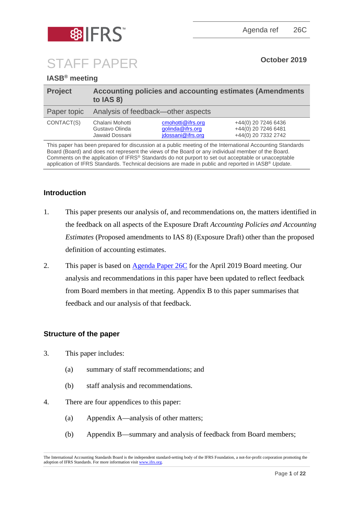



# STAFF PAPER **October <sup>2019</sup>**

# **IASB® meeting**

| <b>Project</b> | Accounting policies and accounting estimates (Amendments<br>to IAS 8) |                                                            |                                                                   |  |
|----------------|-----------------------------------------------------------------------|------------------------------------------------------------|-------------------------------------------------------------------|--|
| Paper topic    | Analysis of feedback—other aspects                                    |                                                            |                                                                   |  |
| CONTACT(S)     | Chalani Mohotti<br>Gustavo Olinda<br>Jawaid Dossani                   | cmohotti@ifrs.org<br>golinda@ifrs.org<br>jdossani@ifrs.org | +44(0) 20 7246 6436<br>+44(0) 20 7246 6481<br>+44(0) 20 7332 2742 |  |
|                |                                                                       |                                                            |                                                                   |  |

This paper has been prepared for discussion at a public meeting of the International Accounting Standards Board (Board) and does not represent the views of the Board or any individual member of the Board. Comments on the application of IFRS® Standards do not purport to set out acceptable or unacceptable application of IFRS Standards. Technical decisions are made in public and reported in IASB® *Update*.

# **Introduction**

- 1. This paper presents our analysis of, and recommendations on, the matters identified in the feedback on all aspects of the Exposure Draft *Accounting Policies and Accounting Estimates* (Proposed amendments to IAS 8) (Exposure Draft) other than the proposed definition of accounting estimates.
- 2. This paper is based on [Agenda Paper 26C](https://www.ifrs.org/-/media/feature/meetings/2019/april/iasb/ap26c-ias-8.pdf) for the April 2019 Board meeting. Our analysis and recommendations in this paper have been updated to reflect feedback from Board members in that meeting. Appendix B to this paper summarises that feedback and our analysis of that feedback.

# **Structure of the paper**

- 3. This paper includes:
	- (a) summary of staff recommendations; and
	- (b) staff analysis and recommendations.
- 4. There are four appendices to this paper:
	- (a) Appendix A—analysis of other matters;
	- (b) Appendix B—summary and analysis of feedback from Board members;

The International Accounting Standards Board is the independent standard-setting body of the IFRS Foundation, a not-for-profit corporation promoting the adoption of IFRS Standards. For more information visit [www.ifrs.org.](http://www.ifrs.org/)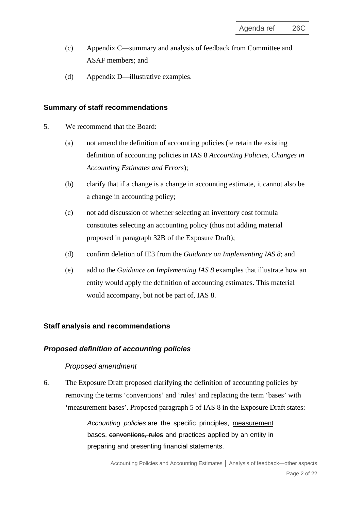- (c) Appendix C—summary and analysis of feedback from Committee and ASAF members; and
- (d) Appendix D—illustrative examples.

### **Summary of staff recommendations**

- 5. We recommend that the Board:
	- (a) not amend the definition of accounting policies (ie retain the existing definition of accounting policies in IAS 8 *Accounting Policies, Changes in Accounting Estimates and Errors*);
	- (b) clarify that if a change is a change in accounting estimate, it cannot also be a change in accounting policy;
	- (c) not add discussion of whether selecting an inventory cost formula constitutes selecting an accounting policy (thus not adding material proposed in paragraph 32B of the Exposure Draft);
	- (d) confirm deletion of IE3 from the *Guidance on Implementing IAS 8*; and
	- (e) add to the *Guidance on Implementing IAS 8* examples that illustrate how an entity would apply the definition of accounting estimates. This material would accompany, but not be part of, IAS 8.

# **Staff analysis and recommendations**

# *Proposed definition of accounting policies*

# *Proposed amendment*

6. The Exposure Draft proposed clarifying the definition of accounting policies by removing the terms 'conventions' and 'rules' and replacing the term 'bases' with 'measurement bases'. Proposed paragraph 5 of IAS 8 in the Exposure Draft states:

> *Accounting policies* are the specific principles, measurement bases, conventions, rules and practices applied by an entity in preparing and presenting financial statements.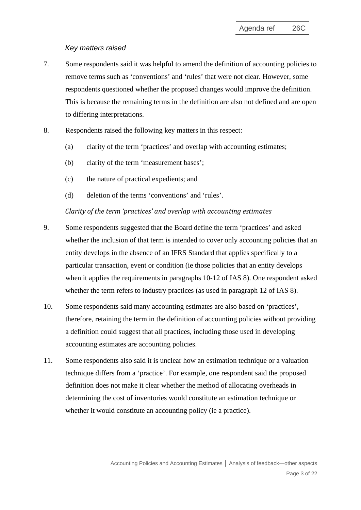#### *Key matters raised*

- 7. Some respondents said it was helpful to amend the definition of accounting policies to remove terms such as 'conventions' and 'rules' that were not clear. However, some respondents questioned whether the proposed changes would improve the definition. This is because the remaining terms in the definition are also not defined and are open to differing interpretations.
- 8. Respondents raised the following key matters in this respect:
	- (a) clarity of the term 'practices' and overlap with accounting estimates;
	- (b) clarity of the term 'measurement bases';
	- (c) the nature of practical expedients; and
	- (d) deletion of the terms 'conventions' and 'rules'.

#### *Clarity of the term 'practices' and overlap with accounting estimates*

- 9. Some respondents suggested that the Board define the term 'practices' and asked whether the inclusion of that term is intended to cover only accounting policies that an entity develops in the absence of an IFRS Standard that applies specifically to a particular transaction, event or condition (ie those policies that an entity develops when it applies the requirements in paragraphs 10-12 of IAS 8). One respondent asked whether the term refers to industry practices (as used in paragraph 12 of IAS 8).
- 10. Some respondents said many accounting estimates are also based on 'practices', therefore, retaining the term in the definition of accounting policies without providing a definition could suggest that all practices, including those used in developing accounting estimates are accounting policies.
- 11. Some respondents also said it is unclear how an estimation technique or a valuation technique differs from a 'practice'. For example, one respondent said the proposed definition does not make it clear whether the method of allocating overheads in determining the cost of inventories would constitute an estimation technique or whether it would constitute an accounting policy (ie a practice).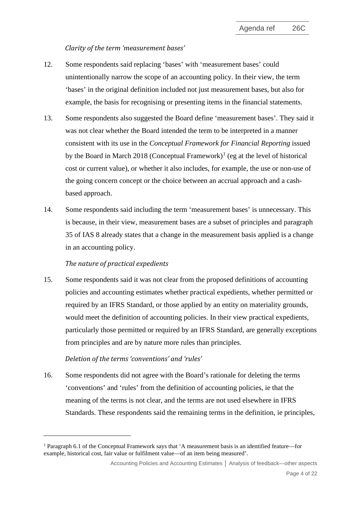#### *Clarity of the term 'measurement bases'*

- <span id="page-3-1"></span>12. Some respondents said replacing 'bases' with 'measurement bases' could unintentionally narrow the scope of an accounting policy. In their view, the term 'bases' in the original definition included not just measurement bases, but also for example, the basis for recognising or presenting items in the financial statements.
- 13. Some respondents also suggested the Board define 'measurement bases'. They said it was not clear whether the Board intended the term to be interpreted in a manner consistent with its use in the *Conceptual Framework for Financial Reporting* issued by the Board in March 20[1](#page-3-0)8 (Conceptual Framework)<sup>1</sup> (eg at the level of historical cost or current value), or whether it also includes, for example, the use or non-use of the going concern concept or the choice between an accrual approach and a cashbased approach.
- <span id="page-3-2"></span>14. Some respondents said including the term 'measurement bases' is unnecessary. This is because, in their view, measurement bases are a subset of principles and paragraph 35 of IAS 8 already states that a change in the measurement basis applied is a change in an accounting policy.

#### *The nature of practical expedients*

15. Some respondents said it was not clear from the proposed definitions of accounting policies and accounting estimates whether practical expedients, whether permitted or required by an IFRS Standard, or those applied by an entity on materiality grounds, would meet the definition of accounting policies. In their view practical expedients, particularly those permitted or required by an IFRS Standard, are generally exceptions from principles and are by nature more rules than principles.

# *Deletion of the terms 'conventions' and 'rules'*

16. Some respondents did not agree with the Board's rationale for deleting the terms 'conventions' and 'rules' from the definition of accounting policies, ie that the meaning of the terms is not clear, and the terms are not used elsewhere in IFRS Standards. These respondents said the remaining terms in the definition, ie principles,

<span id="page-3-0"></span><sup>&</sup>lt;sup>1</sup> Paragraph 6.1 of the Conceptual Framework says that 'A measurement basis is an identified feature—for example, historical cost, fair value or fulfilment value—of an item being measured'.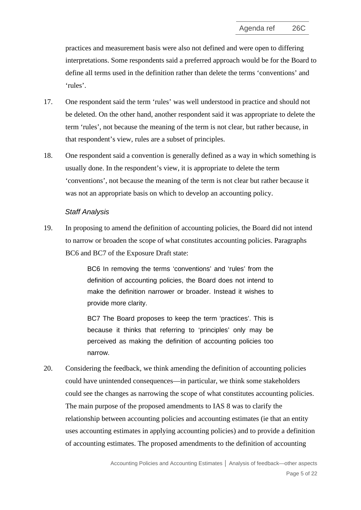practices and measurement basis were also not defined and were open to differing interpretations. Some respondents said a preferred approach would be for the Board to define all terms used in the definition rather than delete the terms 'conventions' and 'rules'.

- 17. One respondent said the term 'rules' was well understood in practice and should not be deleted. On the other hand, another respondent said it was appropriate to delete the term 'rules', not because the meaning of the term is not clear, but rather because, in that respondent's view, rules are a subset of principles.
- 18. One respondent said a convention is generally defined as a way in which something is usually done. In the respondent's view, it is appropriate to delete the term 'conventions', not because the meaning of the term is not clear but rather because it was not an appropriate basis on which to develop an accounting policy.

#### *Staff Analysis*

<span id="page-4-0"></span>19. In proposing to amend the definition of accounting policies, the Board did not intend to narrow or broaden the scope of what constitutes accounting policies. Paragraphs BC6 and BC7 of the Exposure Draft state:

> BC6 In removing the terms 'conventions' and 'rules' from the definition of accounting policies, the Board does not intend to make the definition narrower or broader. Instead it wishes to provide more clarity.

> BC7 The Board proposes to keep the term 'practices'. This is because it thinks that referring to 'principles' only may be perceived as making the definition of accounting policies too narrow.

20. Considering the feedback, we think amending the definition of accounting policies could have unintended consequences—in particular, we think some stakeholders could see the changes as narrowing the scope of what constitutes accounting policies. The main purpose of the proposed amendments to IAS 8 was to clarify the relationship between accounting policies and accounting estimates (ie that an entity uses accounting estimates in applying accounting policies) and to provide a definition of accounting estimates. The proposed amendments to the definition of accounting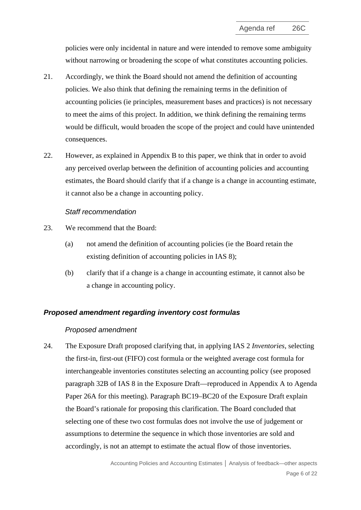policies were only incidental in nature and were intended to remove some ambiguity without narrowing or broadening the scope of what constitutes accounting policies.

- 21. Accordingly, we think the Board should not amend the definition of accounting policies. We also think that defining the remaining terms in the definition of accounting policies (ie principles, measurement bases and practices) is not necessary to meet the aims of this project. In addition, we think defining the remaining terms would be difficult, would broaden the scope of the project and could have unintended consequences.
- <span id="page-5-1"></span>22. However, as explained in Appendix B to this paper, we think that in order to avoid any perceived overlap between the definition of accounting policies and accounting estimates, the Board should clarify that if a change is a change in accounting estimate, it cannot also be a change in accounting policy.

#### *Staff recommendation*

- <span id="page-5-0"></span>23. We recommend that the Board:
	- (a) not amend the definition of accounting policies (ie the Board retain the existing definition of accounting policies in IAS 8);
	- (b) clarify that if a change is a change in accounting estimate, it cannot also be a change in accounting policy.

#### *Proposed amendment regarding inventory cost formulas*

#### *Proposed amendment*

24. The Exposure Draft proposed clarifying that, in applying IAS 2 *Inventories*, selecting the first-in, first-out (FIFO) cost formula or the weighted average cost formula for interchangeable inventories constitutes selecting an accounting policy (see proposed paragraph 32B of IAS 8 in the Exposure Draft—reproduced in Appendix A to Agenda Paper 26A for this meeting). Paragraph BC19–BC20 of the Exposure Draft explain the Board's rationale for proposing this clarification. The Board concluded that selecting one of these two cost formulas does not involve the use of judgement or assumptions to determine the sequence in which those inventories are sold and accordingly, is not an attempt to estimate the actual flow of those inventories.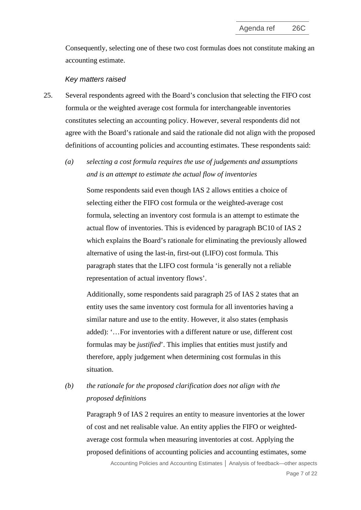Consequently, selecting one of these two cost formulas does not constitute making an accounting estimate.

#### *Key matters raised*

- 25. Several respondents agreed with the Board's conclusion that selecting the FIFO cost formula or the weighted average cost formula for interchangeable inventories constitutes selecting an accounting policy. However, several respondents did not agree with the Board's rationale and said the rationale did not align with the proposed definitions of accounting policies and accounting estimates. These respondents said:
	- *(a) selecting a cost formula requires the use of judgements and assumptions and is an attempt to estimate the actual flow of inventories*

Some respondents said even though IAS 2 allows entities a choice of selecting either the FIFO cost formula or the weighted-average cost formula, selecting an inventory cost formula is an attempt to estimate the actual flow of inventories. This is evidenced by paragraph BC10 of IAS 2 which explains the Board's rationale for eliminating the previously allowed alternative of using the last-in, first-out (LIFO) cost formula. This paragraph states that the LIFO cost formula 'is generally not a reliable representation of actual inventory flows'.

Additionally, some respondents said paragraph 25 of IAS 2 states that an entity uses the same inventory cost formula for all inventories having a similar nature and use to the entity. However, it also states (emphasis added): '…For inventories with a different nature or use, different cost formulas may be *justified*'. This implies that entities must justify and therefore, apply judgement when determining cost formulas in this situation.

# *(b) the rationale for the proposed clarification does not align with the proposed definitions*

Paragraph 9 of IAS 2 requires an entity to measure inventories at the lower of cost and net realisable value. An entity applies the FIFO or weightedaverage cost formula when measuring inventories at cost. Applying the proposed definitions of accounting policies and accounting estimates, some

> Accounting Policies and Accounting Estimates **│** Analysis of feedback—other aspects Page 7 of 22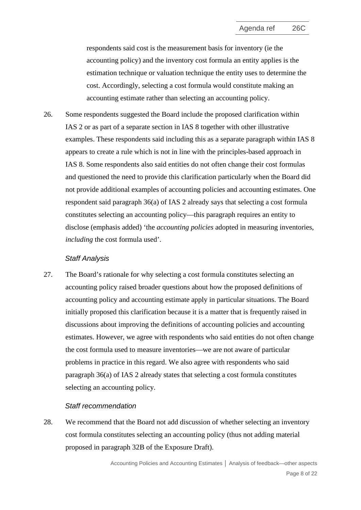respondents said cost is the measurement basis for inventory (ie the accounting policy) and the inventory cost formula an entity applies is the estimation technique or valuation technique the entity uses to determine the cost. Accordingly, selecting a cost formula would constitute making an accounting estimate rather than selecting an accounting policy.

26. Some respondents suggested the Board include the proposed clarification within IAS 2 or as part of a separate section in IAS 8 together with other illustrative examples. These respondents said including this as a separate paragraph within IAS 8 appears to create a rule which is not in line with the principles-based approach in IAS 8. Some respondents also said entities do not often change their cost formulas and questioned the need to provide this clarification particularly when the Board did not provide additional examples of accounting policies and accounting estimates. One respondent said paragraph 36(a) of IAS 2 already says that selecting a cost formula constitutes selecting an accounting policy—this paragraph requires an entity to disclose (emphasis added) 'the *accounting policies* adopted in measuring inventories, *including* the cost formula used'.

#### *Staff Analysis*

<span id="page-7-0"></span>27. The Board's rationale for why selecting a cost formula constitutes selecting an accounting policy raised broader questions about how the proposed definitions of accounting policy and accounting estimate apply in particular situations. The Board initially proposed this clarification because it is a matter that is frequently raised in discussions about improving the definitions of accounting policies and accounting estimates. However, we agree with respondents who said entities do not often change the cost formula used to measure inventories—we are not aware of particular problems in practice in this regard. We also agree with respondents who said paragraph 36(a) of IAS 2 already states that selecting a cost formula constitutes selecting an accounting policy.

#### *Staff recommendation*

28. We recommend that the Board not add discussion of whether selecting an inventory cost formula constitutes selecting an accounting policy (thus not adding material proposed in paragraph 32B of the Exposure Draft).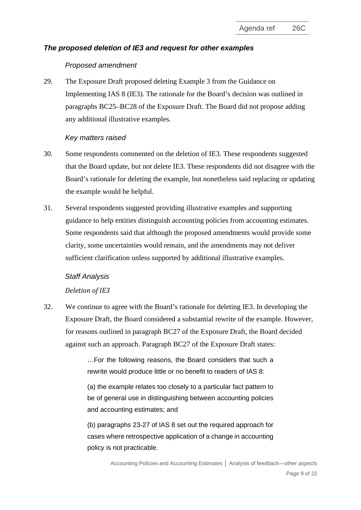# *The proposed deletion of IE3 and request for other examples*

# *Proposed amendment*

29. The Exposure Draft proposed deleting Example 3 from the Guidance on Implementing IAS 8 (IE3). The rationale for the Board's decision was outlined in paragraphs BC25–BC28 of the Exposure Draft. The Board did not propose adding any additional illustrative examples.

### *Key matters raised*

- 30. Some respondents commented on the deletion of IE3. These respondents suggested that the Board update, but not delete IE3. These respondents did not disagree with the Board's rationale for deleting the example, but nonetheless said replacing or updating the example would be helpful.
- 31. Several respondents suggested providing illustrative examples and supporting guidance to help entities distinguish accounting policies from accounting estimates. Some respondents said that although the proposed amendments would provide some clarity, some uncertainties would remain, and the amendments may not deliver sufficient clarification unless supported by additional illustrative examples.

# *Staff Analysis*

# *Deletion of IE3*

32. We continue to agree with the Board's rationale for deleting IE3. In developing the Exposure Draft, the Board considered a substantial rewrite of the example. However, for reasons outlined in paragraph BC27 of the Exposure Draft, the Board decided against such an approach. Paragraph BC27 of the Exposure Draft states:

> …For the following reasons, the Board considers that such a rewrite would produce little or no benefit to readers of IAS 8:

> (a) the example relates too closely to a particular fact pattern to be of general use in distinguishing between accounting policies and accounting estimates; and

> (b) paragraphs 23-27 of IAS 8 set out the required approach for cases where retrospective application of a change in accounting policy is not practicable.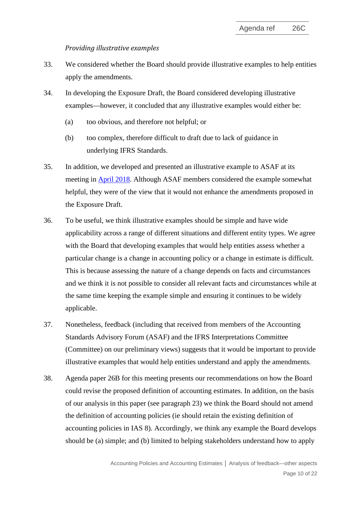#### *Providing illustrative examples*

- <span id="page-9-0"></span>33. We considered whether the Board should provide illustrative examples to help entities apply the amendments.
- 34. In developing the Exposure Draft, the Board considered developing illustrative examples—however, it concluded that any illustrative examples would either be:
	- (a) too obvious, and therefore not helpful; or
	- (b) too complex, therefore difficult to draft due to lack of guidance in underlying IFRS Standards.
- 35. In addition, we developed and presented an illustrative example to ASAF at its meeting in [April 2018.](https://www.ifrs.org/-/media/feature/meetings/2018/april/asaf/asaf-04-accounting-policies-illustrative-examples-april-2018.pdf) Although ASAF members considered the example somewhat helpful, they were of the view that it would not enhance the amendments proposed in the Exposure Draft.
- 36. To be useful, we think illustrative examples should be simple and have wide applicability across a range of different situations and different entity types. We agree with the Board that developing examples that would help entities assess whether a particular change is a change in accounting policy or a change in estimate is difficult. This is because assessing the nature of a change depends on facts and circumstances and we think it is not possible to consider all relevant facts and circumstances while at the same time keeping the example simple and ensuring it continues to be widely applicable.
- 37. Nonetheless, feedback (including that received from members of the Accounting Standards Advisory Forum (ASAF) and the IFRS Interpretations Committee (Committee) on our preliminary views) suggests that it would be important to provide illustrative examples that would help entities understand and apply the amendments.
- 38. Agenda paper 26B for this meeting presents our recommendations on how the Board could revise the proposed definition of accounting estimates. In addition, on the basis of our analysis in this paper (see paragraph [23\)](#page-5-0) we think the Board should not amend the definition of accounting policies (ie should retain the existing definition of accounting policies in IAS 8). Accordingly, we think any example the Board develops should be (a) simple; and (b) limited to helping stakeholders understand how to apply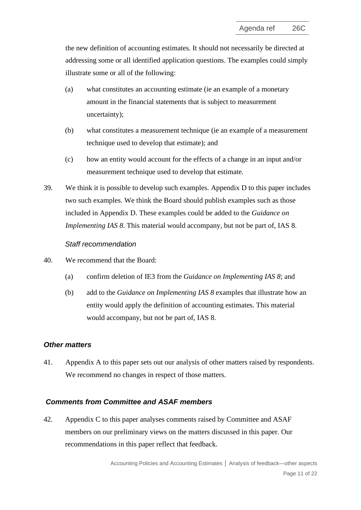the new definition of accounting estimates. It should not necessarily be directed at addressing some or all identified application questions. The examples could simply illustrate some or all of the following:

- (a) what constitutes an accounting estimate (ie an example of a monetary amount in the financial statements that is subject to measurement uncertainty);
- (b) what constitutes a measurement technique (ie an example of a measurement technique used to develop that estimate); and
- (c) how an entity would account for the effects of a change in an input and/or measurement technique used to develop that estimate.
- 39. We think it is possible to develop such examples. Appendix D to this paper includes two such examples. We think the Board should publish examples such as those included in Appendix D. These examples could be added to the *Guidance on Implementing IAS 8*. This material would accompany, but not be part of, IAS 8.

#### *Staff recommendation*

- <span id="page-10-0"></span>40. We recommend that the Board:
	- (a) confirm deletion of IE3 from the *Guidance on Implementing IAS 8*; and
	- (b) add to the *Guidance on Implementing IAS 8* examples that illustrate how an entity would apply the definition of accounting estimates. This material would accompany, but not be part of, IAS 8.

#### *Other matters*

41. Appendix A to this paper sets out our analysis of other matters raised by respondents. We recommend no changes in respect of those matters.

#### *Comments from Committee and ASAF members*

42. Appendix C to this paper analyses comments raised by Committee and ASAF members on our preliminary views on the matters discussed in this paper. Our recommendations in this paper reflect that feedback.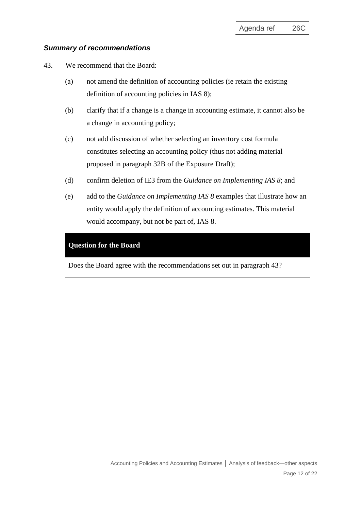# *Summary of recommendations*

<span id="page-11-0"></span>43. We recommend that the Board:

- (a) not amend the definition of accounting policies (ie retain the existing definition of accounting policies in IAS 8);
- (b) clarify that if a change is a change in accounting estimate, it cannot also be a change in accounting policy;
- (c) not add discussion of whether selecting an inventory cost formula constitutes selecting an accounting policy (thus not adding material proposed in paragraph 32B of the Exposure Draft);
- (d) confirm deletion of IE3 from the *Guidance on Implementing IAS 8*; and
- (e) add to the *Guidance on Implementing IAS 8* examples that illustrate how an entity would apply the definition of accounting estimates. This material would accompany, but not be part of, IAS 8.

### **Question for the Board**

Does the Board agree with the recommendations set out in paragraph [43?](#page-11-0)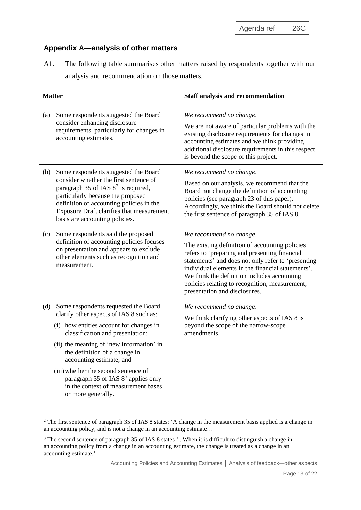Agenda ref 26C

# **Appendix A—analysis of other matters**

A1. The following table summarises other matters raised by respondents together with our analysis and recommendation on those matters.

| <b>Matter</b> |                                                                                                                                                                                                                                                                                                                                                                                                                                 | <b>Staff analysis and recommendation</b>                                                                                                                                                                                                                                                                                                                                |
|---------------|---------------------------------------------------------------------------------------------------------------------------------------------------------------------------------------------------------------------------------------------------------------------------------------------------------------------------------------------------------------------------------------------------------------------------------|-------------------------------------------------------------------------------------------------------------------------------------------------------------------------------------------------------------------------------------------------------------------------------------------------------------------------------------------------------------------------|
| (a)           | Some respondents suggested the Board<br>consider enhancing disclosure<br>requirements, particularly for changes in<br>accounting estimates.                                                                                                                                                                                                                                                                                     | We recommend no change.<br>We are not aware of particular problems with the<br>existing disclosure requirements for changes in<br>accounting estimates and we think providing<br>additional disclosure requirements in this respect<br>is beyond the scope of this project.                                                                                             |
| (b)           | Some respondents suggested the Board<br>consider whether the first sentence of<br>paragraph 35 of IAS $8^2$ is required,<br>particularly because the proposed<br>definition of accounting policies in the<br>Exposure Draft clarifies that measurement<br>basis are accounting policies.                                                                                                                                        | We recommend no change.<br>Based on our analysis, we recommend that the<br>Board not change the definition of accounting<br>policies (see paragraph 23 of this paper).<br>Accordingly, we think the Board should not delete<br>the first sentence of paragraph 35 of IAS 8.                                                                                             |
| (c)           | Some respondents said the proposed<br>definition of accounting policies focuses<br>on presentation and appears to exclude<br>other elements such as recognition and<br>measurement.                                                                                                                                                                                                                                             | We recommend no change.<br>The existing definition of accounting policies<br>refers to 'preparing and presenting financial<br>statements' and does not only refer to 'presenting<br>individual elements in the financial statements'.<br>We think the definition includes accounting<br>policies relating to recognition, measurement,<br>presentation and disclosures. |
| (d)           | Some respondents requested the Board<br>clarify other aspects of IAS 8 such as:<br>(i) how entities account for changes in<br>classification and presentation;<br>(ii) the meaning of 'new information' in<br>the definition of a change in<br>accounting estimate; and<br>(iii) whether the second sentence of<br>paragraph 35 of IAS 8 <sup>3</sup> applies only<br>in the context of measurement bases<br>or more generally. | We recommend no change.<br>We think clarifying other aspects of IAS 8 is<br>beyond the scope of the narrow-scope<br>amendments.                                                                                                                                                                                                                                         |

<span id="page-12-0"></span><sup>&</sup>lt;sup>2</sup> The first sentence of paragraph 35 of IAS 8 states: 'A change in the measurement basis applied is a change in an accounting policy, and is not a [change in an accounting estimate…](http://eifrs.ifrs.org/eifrs/ViewContent?collection=2018_Annotated_Blue_Book&fn=IAS08o_2003-12-01_en-4.html&scrollTo=SL141398)'

<span id="page-12-1"></span><sup>3</sup> The second sentence of paragraph 35 of IAS 8 states '...When it is difficult to distinguish a change in an [accounting policy](http://eifrs.ifrs.org/eifrs/ViewContent?collection=2018_Annotated_Blue_Book&fn=IAS08o_2003-12-01_en-4.html&scrollTo=SL141397) from a change in an accounting estimate, the change is treated as a change in an accounting estimate.'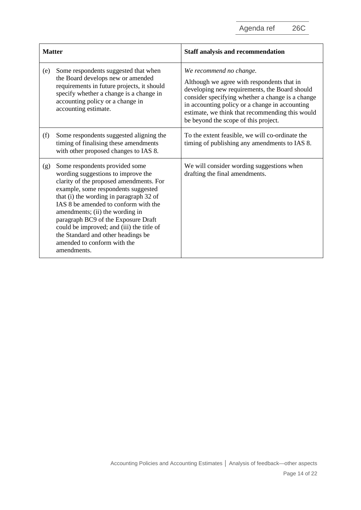Agenda ref 26C

| <b>Matter</b> |                                                                                                                                                                                                                                                                                                                                                                                                                                                      | <b>Staff analysis and recommendation</b>                                                                                                                                                                                                                                                                                |
|---------------|------------------------------------------------------------------------------------------------------------------------------------------------------------------------------------------------------------------------------------------------------------------------------------------------------------------------------------------------------------------------------------------------------------------------------------------------------|-------------------------------------------------------------------------------------------------------------------------------------------------------------------------------------------------------------------------------------------------------------------------------------------------------------------------|
| (e)           | Some respondents suggested that when<br>the Board develops new or amended<br>requirements in future projects, it should<br>specify whether a change is a change in<br>accounting policy or a change in<br>accounting estimate.                                                                                                                                                                                                                       | We recommend no change.<br>Although we agree with respondents that in<br>developing new requirements, the Board should<br>consider specifying whether a change is a change<br>in accounting policy or a change in accounting<br>estimate, we think that recommending this would<br>be beyond the scope of this project. |
| (f)           | Some respondents suggested aligning the<br>timing of finalising these amendments<br>with other proposed changes to IAS 8.                                                                                                                                                                                                                                                                                                                            | To the extent feasible, we will co-ordinate the<br>timing of publishing any amendments to IAS 8.                                                                                                                                                                                                                        |
| (g)           | Some respondents provided some<br>wording suggestions to improve the<br>clarity of the proposed amendments. For<br>example, some respondents suggested<br>that (i) the wording in paragraph 32 of<br>IAS 8 be amended to conform with the<br>amendments; (ii) the wording in<br>paragraph BC9 of the Exposure Draft<br>could be improved; and (iii) the title of<br>the Standard and other headings be<br>amended to conform with the<br>amendments. | We will consider wording suggestions when<br>drafting the final amendments.                                                                                                                                                                                                                                             |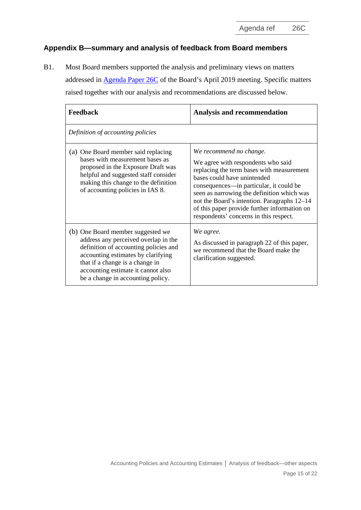Agenda ref 26C

# **Appendix B—summary and analysis of feedback from Board members**

B1. Most Board members supported the analysis and preliminary views on matters addressed in [Agenda Paper 26C](https://www.ifrs.org/-/media/feature/meetings/2019/april/iasb/ap26c-ias-8.pdf) of the Board's April 2019 meeting. Specific matters raised together with our analysis and recommendations are discussed below.

| Feedback                                                                                                                                                                                                                                                               | <b>Analysis and recommendation</b>                                                                                                                                                                                                                                                                                                                                          |  |  |  |
|------------------------------------------------------------------------------------------------------------------------------------------------------------------------------------------------------------------------------------------------------------------------|-----------------------------------------------------------------------------------------------------------------------------------------------------------------------------------------------------------------------------------------------------------------------------------------------------------------------------------------------------------------------------|--|--|--|
| Definition of accounting policies                                                                                                                                                                                                                                      |                                                                                                                                                                                                                                                                                                                                                                             |  |  |  |
| (a) One Board member said replacing<br>bases with measurement bases as<br>proposed in the Exposure Draft was<br>helpful and suggested staff consider<br>making this change to the definition<br>of accounting policies in IAS 8.                                       | We recommend no change.<br>We agree with respondents who said<br>replacing the term bases with measurement<br>bases could have unintended<br>consequences—in particular, it could be<br>seen as narrowing the definition which was<br>not the Board's intention. Paragraphs 12–14<br>of this paper provide further information on<br>respondents' concerns in this respect. |  |  |  |
| (b) One Board member suggested we<br>address any perceived overlap in the<br>definition of accounting policies and<br>accounting estimates by clarifying<br>that if a change is a change in<br>accounting estimate it cannot also<br>be a change in accounting policy. | We agree.<br>As discussed in paragraph 22 of this paper,<br>we recommend that the Board make the<br>clarification suggested.                                                                                                                                                                                                                                                |  |  |  |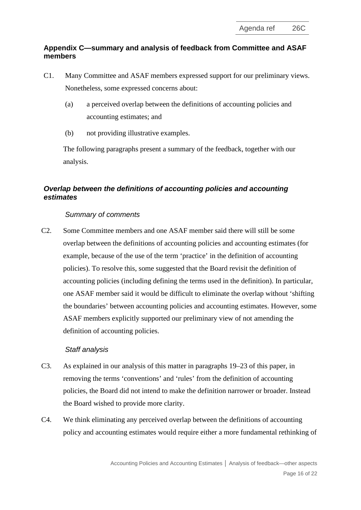# **Appendix C—summary and analysis of feedback from Committee and ASAF members**

- C1. Many Committee and ASAF members expressed support for our preliminary views. Nonetheless, some expressed concerns about:
	- (a) a perceived overlap between the definitions of accounting policies and accounting estimates; and
	- (b) not providing illustrative examples.

The following paragraphs present a summary of the feedback, together with our analysis.

# *Overlap between the definitions of accounting policies and accounting estimates*

# *Summary of comments*

C2. Some Committee members and one ASAF member said there will still be some overlap between the definitions of accounting policies and accounting estimates (for example, because of the use of the term 'practice' in the definition of accounting policies). To resolve this, some suggested that the Board revisit the definition of accounting policies (including defining the terms used in the definition). In particular, one ASAF member said it would be difficult to eliminate the overlap without 'shifting the boundaries' between accounting policies and accounting estimates. However, some ASAF members explicitly supported our preliminary view of not amending the definition of accounting policies.

# *Staff analysis*

- C3. As explained in our analysis of this matter in paragraphs [19](#page-4-0)[–23](#page-5-0) of this paper, in removing the terms 'conventions' and 'rules' from the definition of accounting policies, the Board did not intend to make the definition narrower or broader. Instead the Board wished to provide more clarity.
- C4. We think eliminating any perceived overlap between the definitions of accounting policy and accounting estimates would require either a more fundamental rethinking of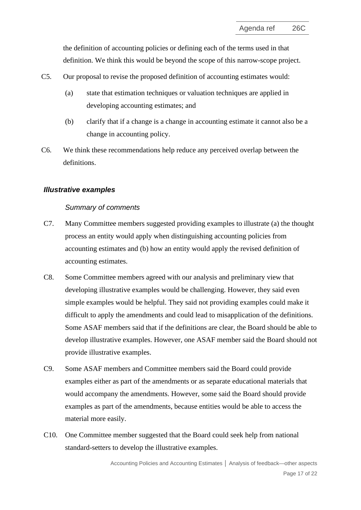the definition of accounting policies or defining each of the terms used in that definition. We think this would be beyond the scope of this narrow-scope project.

- C5. Our proposal to revise the proposed definition of accounting estimates would:
	- (a) state that estimation techniques or valuation techniques are applied in developing accounting estimates; and
	- (b) clarify that if a change is a change in accounting estimate it cannot also be a change in accounting policy.
- C6. We think these recommendations help reduce any perceived overlap between the definitions.

### *Illustrative examples*

### *Summary of comments*

- C7. Many Committee members suggested providing examples to illustrate (a) the thought process an entity would apply when distinguishing accounting policies from accounting estimates and (b) how an entity would apply the revised definition of accounting estimates.
- C8. Some Committee members agreed with our analysis and preliminary view that developing illustrative examples would be challenging. However, they said even simple examples would be helpful. They said not providing examples could make it difficult to apply the amendments and could lead to misapplication of the definitions. Some ASAF members said that if the definitions are clear, the Board should be able to develop illustrative examples. However, one ASAF member said the Board should not provide illustrative examples.
- C9. Some ASAF members and Committee members said the Board could provide examples either as part of the amendments or as separate educational materials that would accompany the amendments. However, some said the Board should provide examples as part of the amendments, because entities would be able to access the material more easily.
- C10. One Committee member suggested that the Board could seek help from national standard-setters to develop the illustrative examples.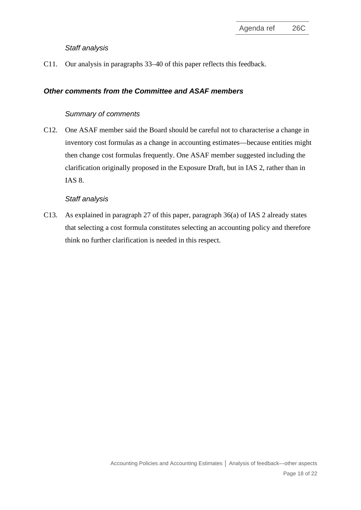#### *Staff analysis*

C11. Our analysis in paragraphs [33](#page-9-0)[–40](#page-10-0) of this paper reflects this feedback.

# *Other comments from the Committee and ASAF members*

#### *Summary of comments*

C12. One ASAF member said the Board should be careful not to characterise a change in inventory cost formulas as a change in accounting estimates—because entities might then change cost formulas frequently. One ASAF member suggested including the clarification originally proposed in the Exposure Draft, but in IAS 2, rather than in IAS 8.

#### *Staff analysis*

C13. As explained in paragraph [27](#page-7-0) of this paper, paragraph 36(a) of IAS 2 already states that selecting a cost formula constitutes selecting an accounting policy and therefore think no further clarification is needed in this respect.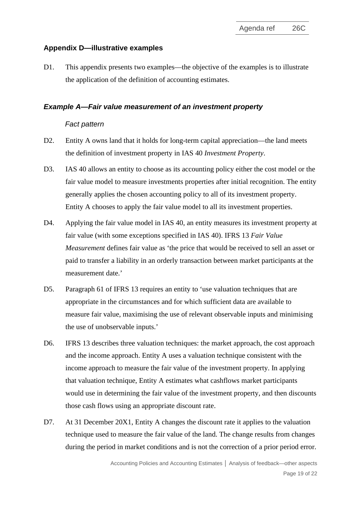# **Appendix D—illustrative examples**

D1. This appendix presents two examples—the objective of the examples is to illustrate the application of the definition of accounting estimates.

### *Example A—Fair value measurement of an investment property*

### *Fact pattern*

- D2. Entity A owns land that it holds for long-term capital appreciation—the land meets the definition of investment property in IAS 40 *Investment Property*.
- D3. IAS 40 allows an entity to choose as its accounting policy either the cost model or the fair value model to measure investments properties after initial recognition. The entity generally applies the chosen accounting policy to all of its investment property. Entity A chooses to apply the fair value model to all its investment properties.
- D4. Applying the fair value model in IAS 40, an entity measures its investment property at fair value (with some exceptions specified in IAS 40). IFRS 13 *Fair Value Measurement* defines fair value as 'the price that would be received to sell an asset or paid to transfer a liability in an orderly transaction between market participants at the measurement date.'
- D5. Paragraph 61 of IFRS 13 requires an entity to 'use valuation techniques that are appropriate in the circumstances and for which sufficient data are available to measure fair value, maximising the use of relevant observable inputs and minimising the use of unobservable inputs.'
- D6. IFRS 13 describes three valuation techniques: the market approach, the cost approach and the income approach. Entity A uses a valuation technique consistent with the income approach to measure the fair value of the investment property. In applying that valuation technique, Entity A estimates what cashflows market participants would use in determining the fair value of the investment property, and then discounts those cash flows using an appropriate discount rate.
- D7. At 31 December 20X1, Entity A changes the discount rate it applies to the valuation technique used to measure the fair value of the land. The change results from changes during the period in market conditions and is not the correction of a prior period error.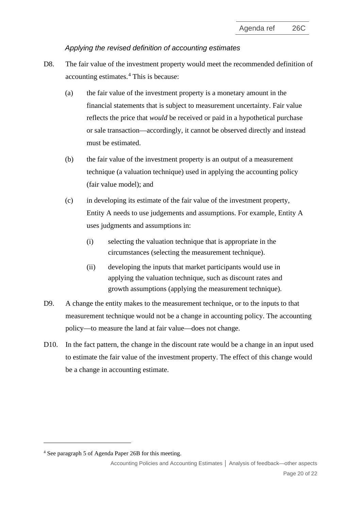### *Applying the revised definition of accounting estimates*

- D8. The fair value of the investment property would meet the recommended definition of accounting estimates.[4](#page-19-0) This is because:
	- (a) the fair value of the investment property is a monetary amount in the financial statements that is subject to measurement uncertainty. Fair value reflects the price that *would* be received or paid in a hypothetical purchase or sale transaction—accordingly, it cannot be observed directly and instead must be estimated.
	- (b) the fair value of the investment property is an output of a measurement technique (a valuation technique) used in applying the accounting policy (fair value model); and
	- (c) in developing its estimate of the fair value of the investment property, Entity A needs to use judgements and assumptions. For example, Entity A uses judgments and assumptions in:
		- (i) selecting the valuation technique that is appropriate in the circumstances (selecting the measurement technique).
		- (ii) developing the inputs that market participants would use in applying the valuation technique, such as discount rates and growth assumptions (applying the measurement technique).
- D9. A change the entity makes to the measurement technique, or to the inputs to that measurement technique would not be a change in accounting policy. The accounting policy—to measure the land at fair value—does not change.
- D10. In the fact pattern, the change in the discount rate would be a change in an input used to estimate the fair value of the investment property. The effect of this change would be a change in accounting estimate.

<span id="page-19-0"></span><sup>4</sup> See paragraph 5 of Agenda Paper 26B for this meeting.

Accounting Policies and Accounting Estimates **│** Analysis of feedback—other aspects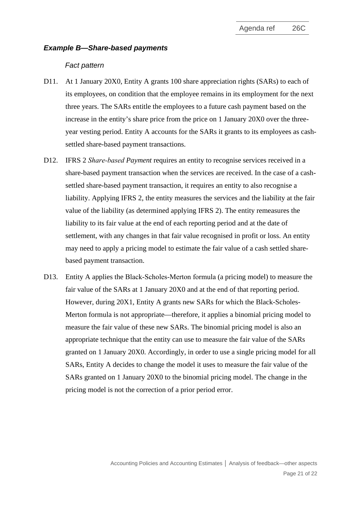#### *Example B—Share-based payments*

#### *Fact pattern*

- D11. At 1 January 20X0, Entity A grants 100 share appreciation rights (SARs) to each of its employees, on condition that the employee remains in its employment for the next three years. The SARs entitle the employees to a future cash payment based on the increase in the entity's share price from the price on 1 January 20X0 over the threeyear vesting period. Entity A accounts for the SARs it grants to its employees as cashsettled share-based payment transactions.
- D12. IFRS 2 *Share‑based Payment* requires an entity to recognise services received in a share-based payment transaction when the services are received. In the case of a cashsettled share-based payment transaction, it requires an entity to also recognise a liability. Applying IFRS 2, the entity measures the services and the liability at the fair value of the liability (as determined applying IFRS 2). The entity remeasures the liability to its fair value at the end of each reporting period and at the date of settlement, with any changes in that fair value recognised in profit or loss. An entity may need to apply a pricing model to estimate the fair value of a cash settled sharebased payment transaction.
- D13. Entity A applies the Black–Scholes–Merton formula (a pricing model) to measure the fair value of the SARs at 1 January 20X0 and at the end of that reporting period. However, during 20X1, Entity A grants new SARs for which the Black-Scholes-Merton formula is not appropriate—therefore, it applies a binomial pricing model to measure the fair value of these new SARs. The binomial pricing model is also an appropriate technique that the entity can use to measure the fair value of the SARs granted on 1 January 20X0. Accordingly, in order to use a single pricing model for all SARs, Entity A decides to change the model it uses to measure the fair value of the SARs granted on 1 January 20X0 to the binomial pricing model. The change in the pricing model is not the correction of a prior period error.